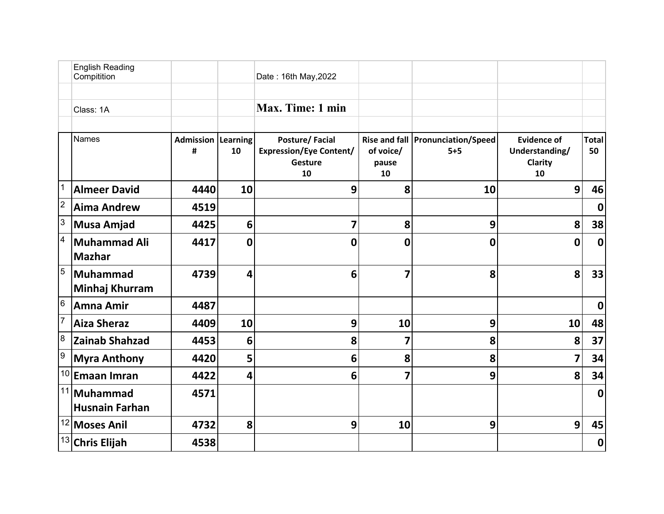|                | <b>English Reading</b><br>Compitition |                                |    | Date: 16th May, 2022                                              |                          |                                              |                                                       |                    |
|----------------|---------------------------------------|--------------------------------|----|-------------------------------------------------------------------|--------------------------|----------------------------------------------|-------------------------------------------------------|--------------------|
|                | Class: 1A                             |                                |    | Max. Time: 1 min                                                  |                          |                                              |                                                       |                    |
|                | <b>Names</b>                          | <b>Admission Learning</b><br># | 10 | Posture/Facial<br><b>Expression/Eye Content/</b><br>Gesture<br>10 | of voice/<br>pause<br>10 | Rise and fall   Pronunciation/Speed<br>$5+5$ | <b>Evidence of</b><br>Understanding/<br>Clarity<br>10 | <b>Total</b><br>50 |
|                | <b>Almeer David</b>                   | 4440                           | 10 | 9                                                                 | 8                        | 10                                           | 9                                                     | 46                 |
| $\overline{2}$ | <b>Aima Andrew</b>                    | 4519                           |    |                                                                   |                          |                                              |                                                       | $\mathbf 0$        |
| $\overline{3}$ | <b>Musa Amjad</b>                     | 4425                           | 6  | 7                                                                 | 8                        | 9                                            | 8                                                     | 38                 |
| $\overline{4}$ | <b>Muhammad Ali</b><br><b>Mazhar</b>  | 4417                           | 0  | $\mathbf 0$                                                       | 0                        | 0                                            | 0                                                     | $\mathbf 0$        |
| $\overline{5}$ | <b>Muhammad</b><br>Minhaj Khurram     | 4739                           | 4  | 6                                                                 | $\overline{7}$           | 8                                            | 8                                                     | 33                 |
| 6              | <b>Amna Amir</b>                      | 4487                           |    |                                                                   |                          |                                              |                                                       | $\mathbf 0$        |
| $\vert$ 7      | <b>Aiza Sheraz</b>                    | 4409                           | 10 | 9                                                                 | 10                       | 9                                            | 10                                                    | 48                 |
| $\overline{8}$ | <b>Zainab Shahzad</b>                 | 4453                           | 6  | 8                                                                 | 7                        | 8                                            | 8                                                     | 37                 |
| 9              | <b>Myra Anthony</b>                   | 4420                           | 5  | 6                                                                 | 8                        | 8                                            | 7                                                     | 34                 |
| 10             | Emaan Imran                           | 4422                           | 4  | 6                                                                 | 7                        | 9                                            | 8                                                     | 34                 |
| 11             | Muhammad<br><b>Husnain Farhan</b>     | 4571                           |    |                                                                   |                          |                                              |                                                       | $\mathbf 0$        |
|                | <sup>12</sup> Moses Anil              | 4732                           | 8  | 9                                                                 | 10                       | 9                                            | 9                                                     | 45                 |
|                | $13$ Chris Elijah                     | 4538                           |    |                                                                   |                          |                                              |                                                       | $\boldsymbol{0}$   |